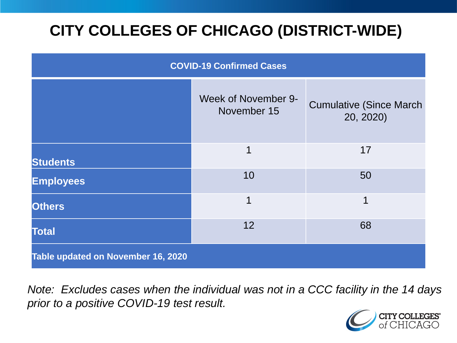# **CITY COLLEGES OF CHICAGO (DISTRICT-WIDE)**

| <b>COVID-19 Confirmed Cases</b>    |                                    |                                              |
|------------------------------------|------------------------------------|----------------------------------------------|
|                                    | Week of November 9-<br>November 15 | <b>Cumulative (Since March)</b><br>20, 2020) |
| <b>Students</b>                    | 1                                  | 17                                           |
| <b>Employees</b>                   | 10                                 | 50                                           |
| <b>Others</b>                      | 1                                  | 1                                            |
| <b>Total</b>                       | 12                                 | 68                                           |
| Table updated on November 16, 2020 |                                    |                                              |

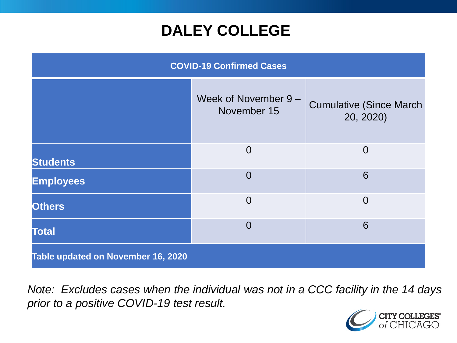### **DALEY COLLEGE**

| <b>COVID-19 Confirmed Cases</b>    |                                     |                                              |
|------------------------------------|-------------------------------------|----------------------------------------------|
|                                    | Week of November 9 -<br>November 15 | <b>Cumulative (Since March)</b><br>20, 2020) |
| <b>Students</b>                    | $\overline{0}$                      | $\overline{0}$                               |
| <b>Employees</b>                   | $\Omega$                            | 6                                            |
| <b>Others</b>                      | $\overline{0}$                      | $\overline{0}$                               |
| <b>Total</b>                       | $\Omega$                            | 6                                            |
| Table updated on November 16, 2020 |                                     |                                              |

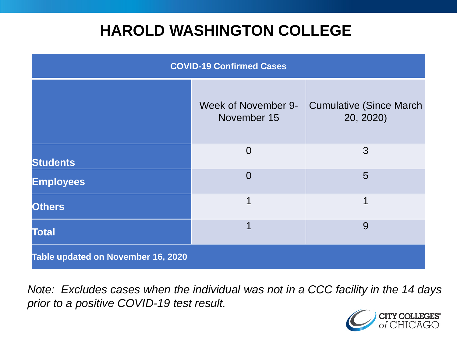### **HAROLD WASHINGTON COLLEGE**

| <b>COVID-19 Confirmed Cases</b>    |                                    |                                              |
|------------------------------------|------------------------------------|----------------------------------------------|
|                                    | Week of November 9-<br>November 15 | <b>Cumulative (Since March)</b><br>20, 2020) |
| <b>Students</b>                    | $\overline{0}$                     | 3                                            |
| <b>Employees</b>                   | $\Omega$                           | 5                                            |
| <b>Others</b>                      | 1                                  | 1                                            |
| <b>Total</b>                       |                                    | 9                                            |
| Table updated on November 16, 2020 |                                    |                                              |

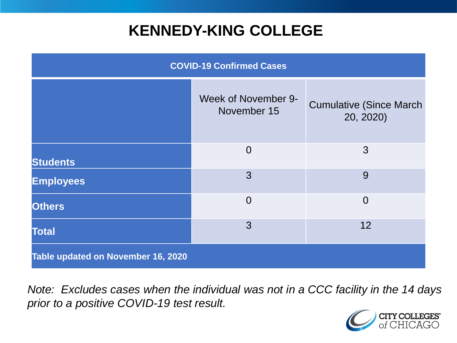### **KENNEDY-KING COLLEGE**

| <b>COVID-19 Confirmed Cases</b>    |                                    |                                              |
|------------------------------------|------------------------------------|----------------------------------------------|
|                                    | Week of November 9-<br>November 15 | <b>Cumulative (Since March)</b><br>20, 2020) |
| <b>Students</b>                    | $\overline{0}$                     | 3                                            |
| <b>Employees</b>                   | 3                                  | 9                                            |
| <b>Others</b>                      | $\overline{0}$                     | $\overline{0}$                               |
| <b>Total</b>                       | 3                                  | 12                                           |
| Table updated on November 16, 2020 |                                    |                                              |

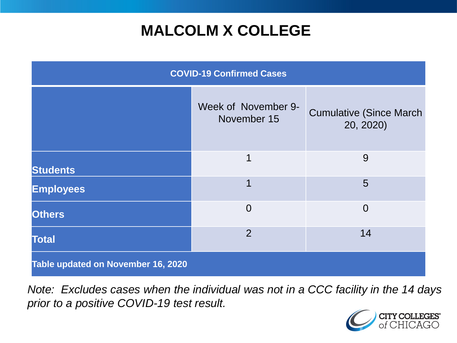## **MALCOLM X COLLEGE**

| <b>COVID-19 Confirmed Cases</b>    |                                    |                                              |
|------------------------------------|------------------------------------|----------------------------------------------|
|                                    | Week of November 9-<br>November 15 | <b>Cumulative (Since March)</b><br>20, 2020) |
| <b>Students</b>                    | 1                                  | 9                                            |
| <b>Employees</b>                   | 1                                  | 5                                            |
| <b>Others</b>                      | $\overline{0}$                     | $\overline{0}$                               |
| <b>Total</b>                       | $\overline{2}$                     | 14                                           |
| Table updated on November 16, 2020 |                                    |                                              |

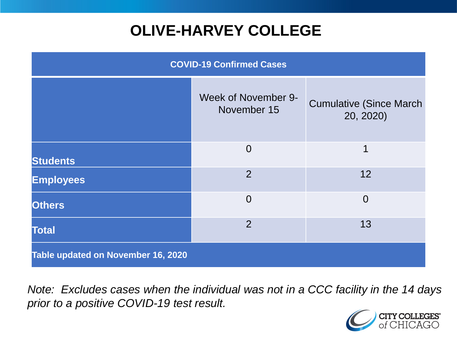# **OLIVE-HARVEY COLLEGE**

| <b>COVID-19 Confirmed Cases</b>    |                                           |                                              |
|------------------------------------|-------------------------------------------|----------------------------------------------|
|                                    | <b>Week of November 9-</b><br>November 15 | <b>Cumulative (Since March)</b><br>20, 2020) |
| <b>Students</b>                    | $\overline{0}$                            | 1                                            |
| <b>Employees</b>                   | $\overline{2}$                            | 12                                           |
| <b>Others</b>                      | $\overline{0}$                            | $\overline{0}$                               |
| <b>Total</b>                       | $\overline{2}$                            | 13                                           |
| Table updated on November 16, 2020 |                                           |                                              |

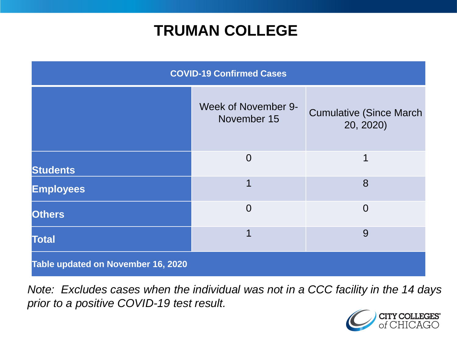### **TRUMAN COLLEGE**

| <b>COVID-19 Confirmed Cases</b>    |                                    |                                              |
|------------------------------------|------------------------------------|----------------------------------------------|
|                                    | Week of November 9-<br>November 15 | <b>Cumulative (Since March)</b><br>20, 2020) |
| <b>Students</b>                    | $\overline{0}$                     | 1                                            |
| <b>Employees</b>                   | 1                                  | 8                                            |
| <b>Others</b>                      | $\overline{0}$                     | $\overline{0}$                               |
| <b>Total</b>                       | 1                                  | 9                                            |
| Table updated on November 16, 2020 |                                    |                                              |